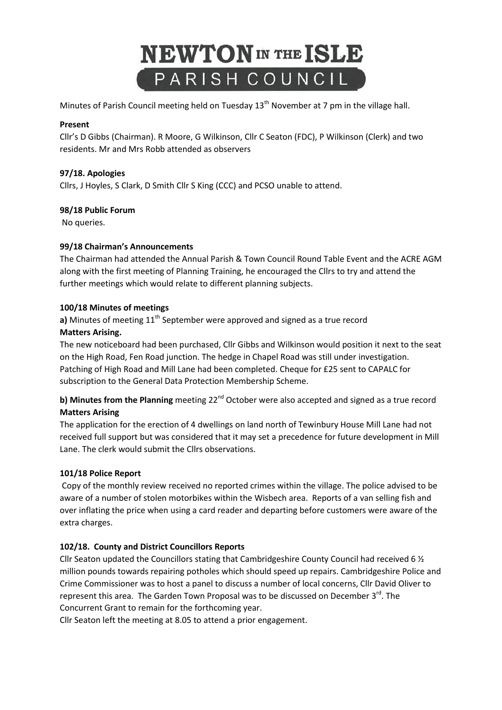

Minutes of Parish Council meeting held on Tuesday 13<sup>th</sup> November at 7 pm in the village hall.

### **Present**

Cllr's D Gibbs (Chairman). R Moore, G Wilkinson, Cllr C Seaton (FDC), P Wilkinson (Clerk) and two residents. Mr and Mrs Robb attended as observers

## **97/18. Apologies**

Cllrs, J Hoyles, S Clark, D Smith Cllr S King (CCC) and PCSO unable to attend.

### **98/18 Public Forum**

No queries.

### **99/18 Chairman's Announcements**

The Chairman had attended the Annual Parish & Town Council Round Table Event and the ACRE AGM along with the first meeting of Planning Training, he encouraged the Cllrs to try and attend the further meetings which would relate to different planning subjects.

### **100/18 Minutes of meetings**

**a)** Minutes of meeting 11<sup>th</sup> September were approved and signed as a true record

### **Matters Arising.**

The new noticeboard had been purchased, Cllr Gibbs and Wilkinson would position it next to the seat on the High Road, Fen Road junction. The hedge in Chapel Road was still under investigation. Patching of High Road and Mill Lane had been completed. Cheque for £25 sent to CAPALC for subscription to the General Data Protection Membership Scheme.

# **b) Minutes from the Planning** meeting 22<sup>nd</sup> October were also accepted and signed as a true record **Matters Arising**

The application for the erection of 4 dwellings on land north of Tewinbury House Mill Lane had not received full support but was considered that it may set a precedence for future development in Mill Lane. The clerk would submit the Cllrs observations.

## **101/18 Police Report**

Copy of the monthly review received no reported crimes within the village. The police advised to be aware of a number of stolen motorbikes within the Wisbech area. Reports of a van selling fish and over inflating the price when using a card reader and departing before customers were aware of the extra charges.

## **102/18. County and District Councillors Reports**

Cllr Seaton updated the Councillors stating that Cambridgeshire County Council had received 6 ½ million pounds towards repairing potholes which should speed up repairs. Cambridgeshire Police and Crime Commissioner was to host a panel to discuss a number of local concerns, Cllr David Oliver to represent this area. The Garden Town Proposal was to be discussed on December 3<sup>rd</sup>. The Concurrent Grant to remain for the forthcoming year.

Cllr Seaton left the meeting at 8.05 to attend a prior engagement.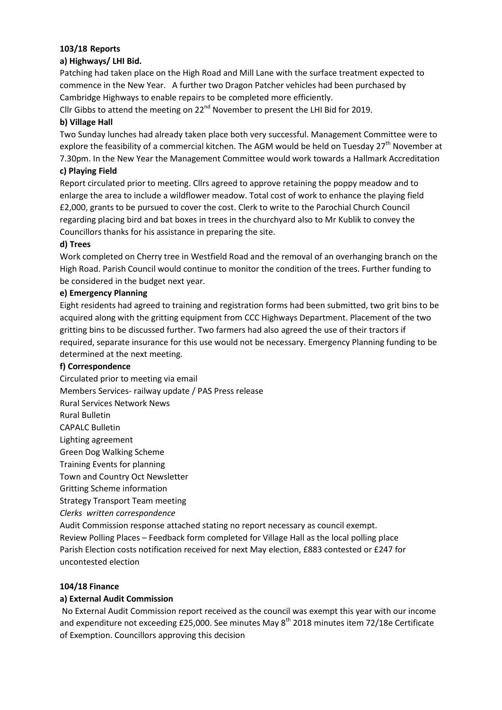## **103/18 Reports**

## **a) Highways/ LHI Bid.**

Patching had taken place on the High Road and Mill Lane with the surface treatment expected to commence in the New Year. A further two Dragon Patcher vehicles had been purchased by Cambridge Highways to enable repairs to be completed more efficiently.

Cllr Gibbs to attend the meeting on  $22^{nd}$  November to present the LHI Bid for 2019.

## **b) Village Hall**

Two Sunday lunches had already taken place both very successful. Management Committee were to explore the feasibility of a commercial kitchen. The AGM would be held on Tuesday 27<sup>th</sup> November at 7.30pm. In the New Year the Management Committee would work towards a Hallmark Accreditation

## **c) Playing Field**

Report circulated prior to meeting. Cllrs agreed to approve retaining the poppy meadow and to enlarge the area to include a wildflower meadow. Total cost of work to enhance the playing field £2,000, grants to be pursued to cover the cost. Clerk to write to the Parochial Church Council regarding placing bird and bat boxes in trees in the churchyard also to Mr Kublik to convey the Councillors thanks for his assistance in preparing the site.

## **d) Trees**

Work completed on Cherry tree in Westfield Road and the removal of an overhanging branch on the High Road. Parish Council would continue to monitor the condition of the trees. Further funding to be considered in the budget next year.

## **e) Emergency Planning**

Eight residents had agreed to training and registration forms had been submitted, two grit bins to be acquired along with the gritting equipment from CCC Highways Department. Placement of the two gritting bins to be discussed further. Two farmers had also agreed the use of their tractors if required, separate insurance for this use would not be necessary. Emergency Planning funding to be determined at the next meeting.

## **f) Correspondence**

Circulated prior to meeting via email Members Services- railway update / PAS Press release Rural Services Network News Rural Bulletin CAPALC Bulletin Lighting agreement Green Dog Walking Scheme Training Events for planning Town and Country Oct Newsletter Gritting Scheme information Strategy Transport Team meeting *Clerks written correspondence* Audit Commission response attached stating no report necessary as council exempt.

Review Polling Places – Feedback form completed for Village Hall as the local polling place Parish Election costs notification received for next May election, £883 contested or £247 for uncontested election

## **104/18 Finance**

## **a) External Audit Commission**

No External Audit Commission report received as the council was exempt this year with our income and expenditure not exceeding £25,000. See minutes May  $8<sup>th</sup>$  2018 minutes item 72/18e Certificate of Exemption. Councillors approving this decision